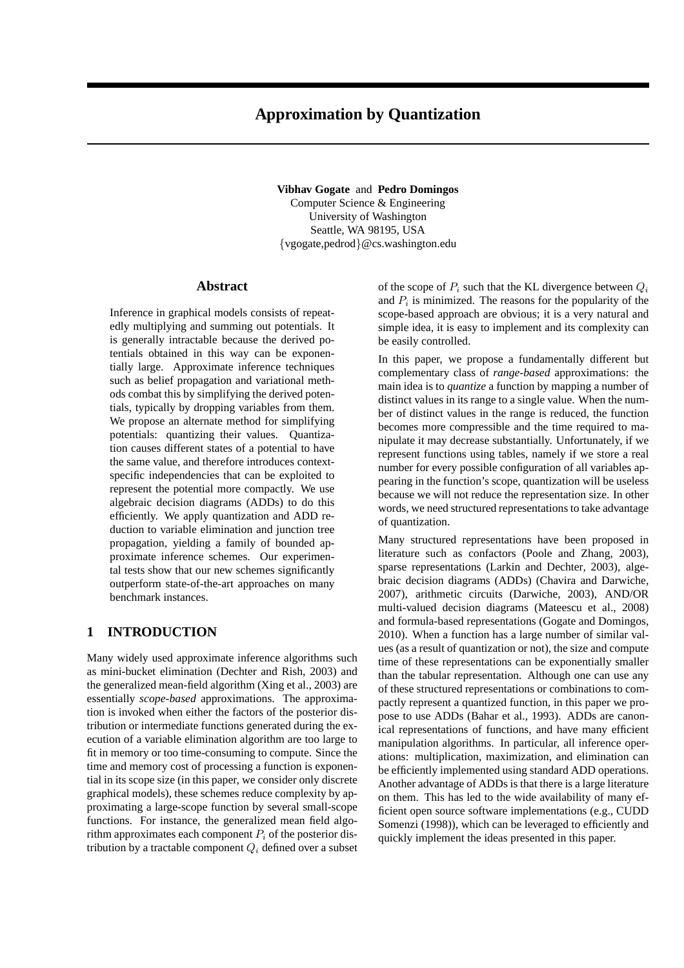# **Approximation by Quantization**

**Vibhav Gogate** and **Pedro Domingos** Computer Science & Engineering University of Washington Seattle, WA 98195, USA {vgogate,pedrod}@cs.washington.edu

#### **Abstract**

Inference in graphical models consists of repeatedly multiplying and summing out potentials. It is generally intractable because the derived potentials obtained in this way can be exponentially large. Approximate inference techniques such as belief propagation and variational methods combat this by simplifying the derived potentials, typically by dropping variables from them. We propose an alternate method for simplifying potentials: quantizing their values. Quantization causes different states of a potential to have the same value, and therefore introduces contextspecific independencies that can be exploited to represent the potential more compactly. We use algebraic decision diagrams (ADDs) to do this efficiently. We apply quantization and ADD reduction to variable elimination and junction tree propagation, yielding a family of bounded approximate inference schemes. Our experimental tests show that our new schemes significantly outperform state-of-the-art approaches on many benchmark instances.

# **1 INTRODUCTION**

Many widely used approximate inference algorithms such as mini-bucket elimination (Dechter and Rish, 2003) and the generalized mean-field algorithm (Xing et al., 2003) are essentially *scope-based* approximations. The approximation is invoked when either the factors of the posterior distribution or intermediate functions generated during the execution of a variable elimination algorithm are too large to fit in memory or too time-consuming to compute. Since the time and memory cost of processing a function is exponential in its scope size (in this paper, we consider only discrete graphical models), these schemes reduce complexity by approximating a large-scope function by several small-scope functions. For instance, the generalized mean field algorithm approximates each component  $P_i$  of the posterior distribution by a tractable component  $Q_i$  defined over a subset of the scope of  $P_i$  such that the KL divergence between  $Q_i$ and  $P_i$  is minimized. The reasons for the popularity of the scope-based approach are obvious; it is a very natural and simple idea, it is easy to implement and its complexity can be easily controlled.

In this paper, we propose a fundamentally different but complementary class of *range-based* approximations: the main idea is to *quantize* a function by mapping a number of distinct values in its range to a single value. When the number of distinct values in the range is reduced, the function becomes more compressible and the time required to manipulate it may decrease substantially. Unfortunately, if we represent functions using tables, namely if we store a real number for every possible configuration of all variables appearing in the function's scope, quantization will be useless because we will not reduce the representation size. In other words, we need structured representations to take advantage of quantization.

Many structured representations have been proposed in literature such as confactors (Poole and Zhang, 2003), sparse representations (Larkin and Dechter, 2003), algebraic decision diagrams (ADDs) (Chavira and Darwiche, 2007), arithmetic circuits (Darwiche, 2003), AND/OR multi-valued decision diagrams (Mateescu et al., 2008) and formula-based representations (Gogate and Domingos, 2010). When a function has a large number of similar values (as a result of quantization or not), the size and compute time of these representations can be exponentially smaller than the tabular representation. Although one can use any of these structured representations or combinations to compactly represent a quantized function, in this paper we propose to use ADDs (Bahar et al., 1993). ADDs are canonical representations of functions, and have many efficient manipulation algorithms. In particular, all inference operations: multiplication, maximization, and elimination can be efficiently implemented using standard ADD operations. Another advantage of ADDs is that there is a large literature on them. This has led to the wide availability of many efficient open source software implementations (e.g., CUDD Somenzi (1998)), which can be leveraged to efficiently and quickly implement the ideas presented in this paper.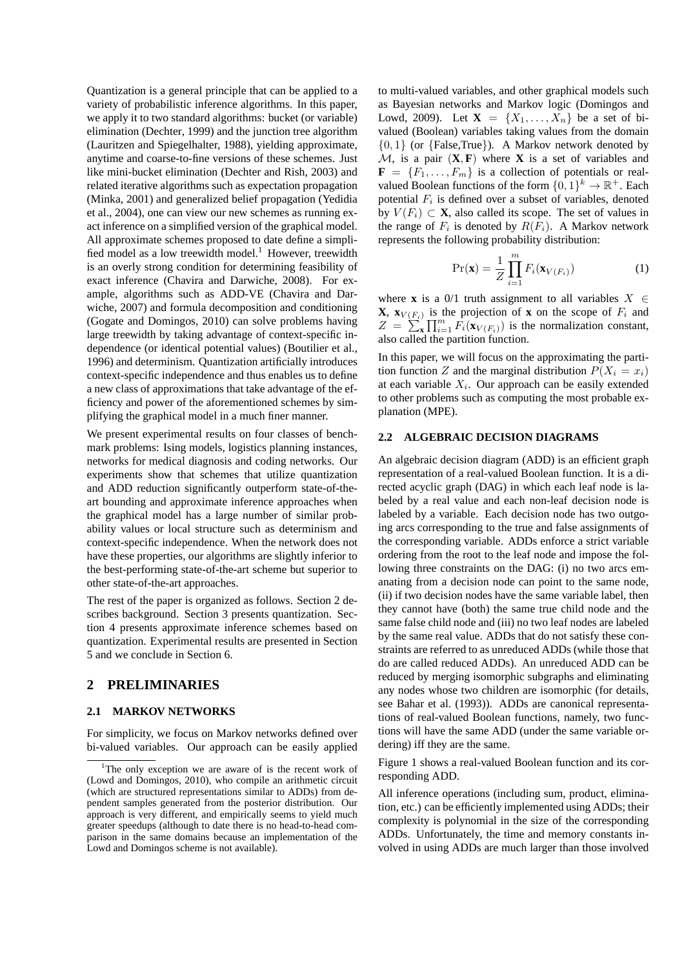Quantization is a general principle that can be applied to a variety of probabilistic inference algorithms. In this paper, we apply it to two standard algorithms: bucket (or variable) elimination (Dechter, 1999) and the junction tree algorithm (Lauritzen and Spiegelhalter, 1988), yielding approximate, anytime and coarse-to-fine versions of these schemes. Just like mini-bucket elimination (Dechter and Rish, 2003) and related iterative algorithms such as expectation propagation (Minka, 2001) and generalized belief propagation (Yedidia et al., 2004), one can view our new schemes as running exact inference on a simplified version of the graphical model. All approximate schemes proposed to date define a simplified model as a low treewidth model.<sup>1</sup> However, treewidth is an overly strong condition for determining feasibility of exact inference (Chavira and Darwiche, 2008). For example, algorithms such as ADD-VE (Chavira and Darwiche, 2007) and formula decomposition and conditioning (Gogate and Domingos, 2010) can solve problems having large treewidth by taking advantage of context-specific independence (or identical potential values) (Boutilier et al., 1996) and determinism. Quantization artificially introduces context-specific independence and thus enables us to define a new class of approximations that take advantage of the efficiency and power of the aforementioned schemes by simplifying the graphical model in a much finer manner.

We present experimental results on four classes of benchmark problems: Ising models, logistics planning instances, networks for medical diagnosis and coding networks. Our experiments show that schemes that utilize quantization and ADD reduction significantly outperform state-of-theart bounding and approximate inference approaches when the graphical model has a large number of similar probability values or local structure such as determinism and context-specific independence. When the network does not have these properties, our algorithms are slightly inferior to the best-performing state-of-the-art scheme but superior to other state-of-the-art approaches.

The rest of the paper is organized as follows. Section 2 describes background. Section 3 presents quantization. Section 4 presents approximate inference schemes based on quantization. Experimental results are presented in Section 5 and we conclude in Section 6.

# **2 PRELIMINARIES**

### **2.1 MARKOV NETWORKS**

For simplicity, we focus on Markov networks defined over bi-valued variables. Our approach can be easily applied

to multi-valued variables, and other graphical models such as Bayesian networks and Markov logic (Domingos and Lowd, 2009). Let **X** =  $\{X_1, ..., X_n\}$  be a set of bivalued (Boolean) variables taking values from the domain  $\{0, 1\}$  (or  $\{False, True\}$ ). A Markov network denoted by  $M$ , is a pair  $(X, F)$  where X is a set of variables and  $\mathbf{F} = \{F_1, \ldots, F_m\}$  is a collection of potentials or realvalued Boolean functions of the form  $\{0,1\}^k \to \mathbb{R}^+$ . Each potential  $F_i$  is defined over a subset of variables, denoted by  $V(F_i) \subset \mathbf{X}$ , also called its scope. The set of values in the range of  $F_i$  is denoted by  $R(F_i)$ . A Markov network represents the following probability distribution:

$$
\Pr(\mathbf{x}) = \frac{1}{Z} \prod_{i=1}^{m} F_i(\mathbf{x}_{V(F_i)})
$$
(1)

where **x** is a 0/1 truth assignment to all variables  $X \in$ **X**,  $\mathbf{x}_{V(F_i)}$  is the projection of **x** on the scope of  $F_i$  and  $Z = \sum_{\mathbf{x}}^{\infty} \prod_{i=1}^{m} F_i(\mathbf{x}_{V(F_i)})$  is the normalization constant, also called the partition function.

In this paper, we will focus on the approximating the partition function Z and the marginal distribution  $P(X_i = x_i)$ at each variable  $X_i$ . Our approach can be easily extended to other problems such as computing the most probable explanation (MPE).

# **2.2 ALGEBRAIC DECISION DIAGRAMS**

An algebraic decision diagram (ADD) is an efficient graph representation of a real-valued Boolean function. It is a directed acyclic graph (DAG) in which each leaf node is labeled by a real value and each non-leaf decision node is labeled by a variable. Each decision node has two outgoing arcs corresponding to the true and false assignments of the corresponding variable. ADDs enforce a strict variable ordering from the root to the leaf node and impose the following three constraints on the DAG: (i) no two arcs emanating from a decision node can point to the same node, (ii) if two decision nodes have the same variable label, then they cannot have (both) the same true child node and the same false child node and (iii) no two leaf nodes are labeled by the same real value. ADDs that do not satisfy these constraints are referred to as unreduced ADDs (while those that do are called reduced ADDs). An unreduced ADD can be reduced by merging isomorphic subgraphs and eliminating any nodes whose two children are isomorphic (for details, see Bahar et al. (1993)). ADDs are canonical representations of real-valued Boolean functions, namely, two functions will have the same ADD (under the same variable ordering) iff they are the same.

Figure 1 shows a real-valued Boolean function and its corresponding ADD.

All inference operations (including sum, product, elimination, etc.) can be efficiently implemented using ADDs; their complexity is polynomial in the size of the corresponding ADDs. Unfortunately, the time and memory constants involved in using ADDs are much larger than those involved

<sup>&</sup>lt;sup>1</sup>The only exception we are aware of is the recent work of (Lowd and Domingos, 2010), who compile an arithmetic circuit (which are structured representations similar to ADDs) from dependent samples generated from the posterior distribution. Our approach is very different, and empirically seems to yield much greater speedups (although to date there is no head-to-head comparison in the same domains because an implementation of the Lowd and Domingos scheme is not available).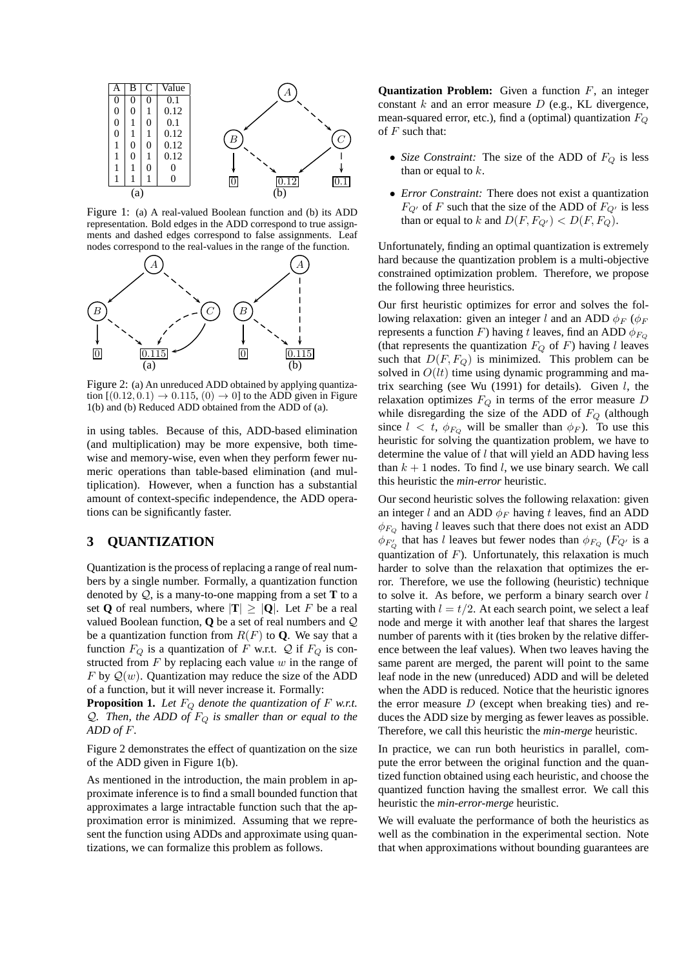

Figure 1: (a) A real-valued Boolean function and (b) its ADD representation. Bold edges in the ADD correspond to true assignments and dashed edges correspond to false assignments. Leaf nodes correspond to the real-values in the range of the function.



Figure 2: (a) An unreduced ADD obtained by applying quantization  $[(0.12, 0.1) \rightarrow 0.115, (0) \rightarrow 0]$  to the ADD given in Figure 1(b) and (b) Reduced ADD obtained from the ADD of (a).

in using tables. Because of this, ADD-based elimination (and multiplication) may be more expensive, both timewise and memory-wise, even when they perform fewer numeric operations than table-based elimination (and multiplication). However, when a function has a substantial amount of context-specific independence, the ADD operations can be significantly faster.

# **3 QUANTIZATION**

Quantization is the process of replacing a range of real numbers by a single number. Formally, a quantization function denoted by Q, is a many-to-one mapping from a set **T** to a set **Q** of real numbers, where  $|\mathbf{T}| \geq |\mathbf{Q}|$ . Let F be a real valued Boolean function, **Q** be a set of real numbers and Q be a quantization function from  $R(F)$  to **Q**. We say that a function  $F_Q$  is a quantization of F w.r.t. Q if  $F_Q$  is constructed from  $F$  by replacing each value  $w$  in the range of F by  $Q(w)$ . Quantization may reduce the size of the ADD of a function, but it will never increase it. Formally:

**Proposition 1.** Let  $F_Q$  denote the quantization of  $F$  w.r.t. Q. Then, the ADD of  $F_Q$  is smaller than or equal to the *ADD of* F*.*

Figure 2 demonstrates the effect of quantization on the size of the ADD given in Figure 1(b).

As mentioned in the introduction, the main problem in approximate inference is to find a small bounded function that approximates a large intractable function such that the approximation error is minimized. Assuming that we represent the function using ADDs and approximate using quantizations, we can formalize this problem as follows.

**Quantization Problem:** Given a function F, an integer constant  $k$  and an error measure  $D$  (e.g., KL divergence, mean-squared error, etc.), find a (optimal) quantization  $F_Q$ of  $F$  such that:

- *Size Constraint:* The size of the ADD of  $F_Q$  is less than or equal to  $k$ .
- *Error Constraint:* There does not exist a quantization  $F_{Q'}$  of F such that the size of the ADD of  $F_{Q'}$  is less than or equal to k and  $D(F, F_{Q'}) < D(F, F_Q)$ .

Unfortunately, finding an optimal quantization is extremely hard because the quantization problem is a multi-objective constrained optimization problem. Therefore, we propose the following three heuristics.

Our first heuristic optimizes for error and solves the following relaxation: given an integer l and an ADD  $\phi_F$  ( $\phi_F$ represents a function F) having t leaves, find an ADD  $\phi_{F_Q}$ (that represents the quantization  $F_Q$  of F) having l leaves such that  $D(F, F_Q)$  is minimized. This problem can be solved in  $O(lt)$  time using dynamic programming and matrix searching (see Wu (1991) for details). Given  $l$ , the relaxation optimizes  $F_Q$  in terms of the error measure D while disregarding the size of the ADD of  $F_Q$  (although since  $l < t$ ,  $\phi_{F_Q}$  will be smaller than  $\phi_F$ ). To use this heuristic for solving the quantization problem, we have to determine the value of  $l$  that will yield an ADD having less than  $k + 1$  nodes. To find l, we use binary search. We call this heuristic the *min-error* heuristic.

Our second heuristic solves the following relaxation: given an integer l and an ADD  $\phi_F$  having t leaves, find an ADD  $\phi_{F_Q}$  having l leaves such that there does not exist an ADD  $\phi_{F_Q'}$  that has l leaves but fewer nodes than  $\phi_{F_Q}$  ( $F_{Q'}$  is a quantization of  $F$ ). Unfortunately, this relaxation is much harder to solve than the relaxation that optimizes the error. Therefore, we use the following (heuristic) technique to solve it. As before, we perform a binary search over  $l$ starting with  $l = t/2$ . At each search point, we select a leaf node and merge it with another leaf that shares the largest number of parents with it (ties broken by the relative difference between the leaf values). When two leaves having the same parent are merged, the parent will point to the same leaf node in the new (unreduced) ADD and will be deleted when the ADD is reduced. Notice that the heuristic ignores the error measure  $D$  (except when breaking ties) and reduces the ADD size by merging as fewer leaves as possible. Therefore, we call this heuristic the *min-merge* heuristic.

In practice, we can run both heuristics in parallel, compute the error between the original function and the quantized function obtained using each heuristic, and choose the quantized function having the smallest error. We call this heuristic the *min-error-merge* heuristic.

We will evaluate the performance of both the heuristics as well as the combination in the experimental section. Note that when approximations without bounding guarantees are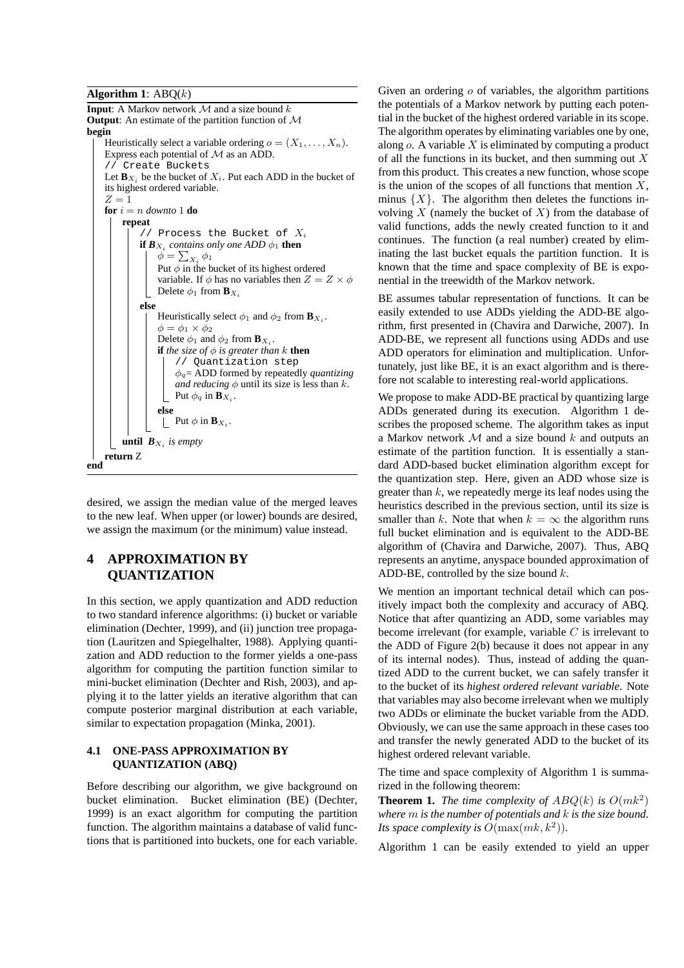**Algorithm 1**: ABQ(k)



desired, we assign the median value of the merged leaves to the new leaf. When upper (or lower) bounds are desired, we assign the maximum (or the minimum) value instead.

# **4 APPROXIMATION BY QUANTIZATION**

In this section, we apply quantization and ADD reduction to two standard inference algorithms: (i) bucket or variable elimination (Dechter, 1999), and (ii) junction tree propagation (Lauritzen and Spiegelhalter, 1988). Applying quantization and ADD reduction to the former yields a one-pass algorithm for computing the partition function similar to mini-bucket elimination (Dechter and Rish, 2003), and applying it to the latter yields an iterative algorithm that can compute posterior marginal distribution at each variable, similar to expectation propagation (Minka, 2001).

# **4.1 ONE-PASS APPROXIMATION BY QUANTIZATION (ABQ)**

Before describing our algorithm, we give background on bucket elimination. Bucket elimination (BE) (Dechter, 1999) is an exact algorithm for computing the partition function. The algorithm maintains a database of valid functions that is partitioned into buckets, one for each variable. Given an ordering  $\sigma$  of variables, the algorithm partitions the potentials of a Markov network by putting each potential in the bucket of the highest ordered variable in its scope. The algorithm operates by eliminating variables one by one, along  $o$ . A variable  $X$  is eliminated by computing a product of all the functions in its bucket, and then summing out  $X$ from this product. This creates a new function, whose scope is the union of the scopes of all functions that mention  $X$ , minus  $\{X\}$ . The algorithm then deletes the functions involving  $X$  (namely the bucket of  $X$ ) from the database of valid functions, adds the newly created function to it and continues. The function (a real number) created by eliminating the last bucket equals the partition function. It is known that the time and space complexity of BE is exponential in the treewidth of the Markov network.

BE assumes tabular representation of functions. It can be easily extended to use ADDs yielding the ADD-BE algorithm, first presented in (Chavira and Darwiche, 2007). In ADD-BE, we represent all functions using ADDs and use ADD operators for elimination and multiplication. Unfortunately, just like BE, it is an exact algorithm and is therefore not scalable to interesting real-world applications.

We propose to make ADD-BE practical by quantizing large ADDs generated during its execution. Algorithm 1 describes the proposed scheme. The algorithm takes as input a Markov network  $M$  and a size bound k and outputs an estimate of the partition function. It is essentially a standard ADD-based bucket elimination algorithm except for the quantization step. Here, given an ADD whose size is greater than  $k$ , we repeatedly merge its leaf nodes using the heuristics described in the previous section, until its size is smaller than k. Note that when  $k = \infty$  the algorithm runs full bucket elimination and is equivalent to the ADD-BE algorithm of (Chavira and Darwiche, 2007). Thus, ABQ represents an anytime, anyspace bounded approximation of ADD-BE, controlled by the size bound  $k$ .

We mention an important technical detail which can positively impact both the complexity and accuracy of ABQ. Notice that after quantizing an ADD, some variables may become irrelevant (for example, variable  $C$  is irrelevant to the ADD of Figure 2(b) because it does not appear in any of its internal nodes). Thus, instead of adding the quantized ADD to the current bucket, we can safely transfer it to the bucket of its *highest ordered relevant variable*. Note that variables may also become irrelevant when we multiply two ADDs or eliminate the bucket variable from the ADD. Obviously, we can use the same approach in these cases too and transfer the newly generated ADD to the bucket of its highest ordered relevant variable.

The time and space complexity of Algorithm 1 is summarized in the following theorem:

**Theorem 1.** *The time complexity of*  $ABQ(k)$  *is*  $O(mk^2)$ *where* m *is the number of potentials and* k *is the size bound. Its space complexity is*  $O(\max(mk, k^2))$ *.* 

Algorithm 1 can be easily extended to yield an upper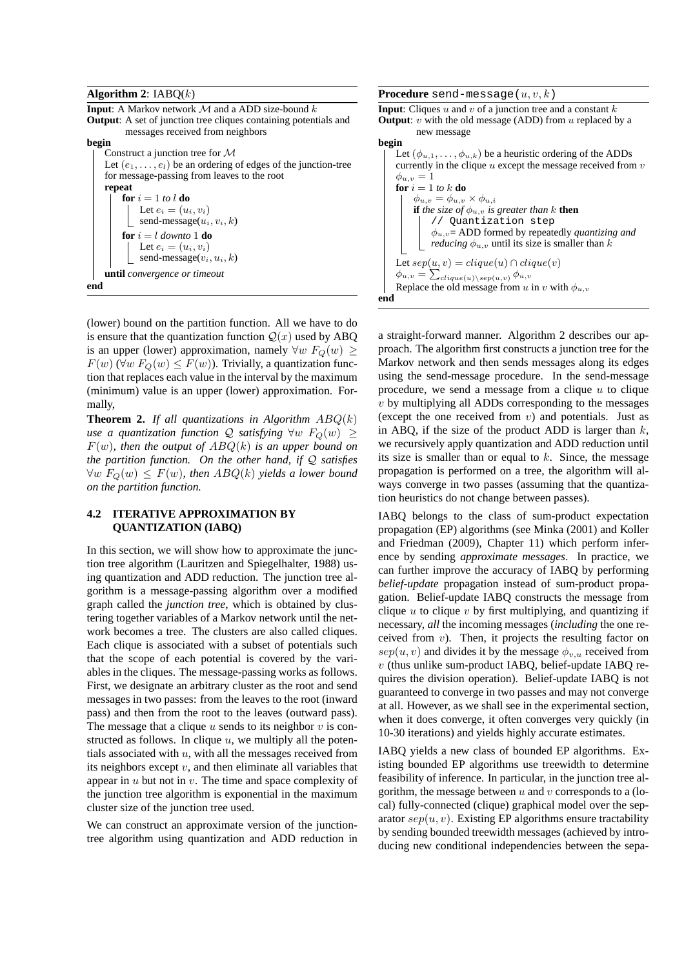#### **Algorithm 2**: IABQ(k)

**Input**: A Markov network  $M$  and a ADD size-bound  $k$ **Output**: A set of junction tree cliques containing potentials and messages received from neighbors



(lower) bound on the partition function. All we have to do is ensure that the quantization function  $Q(x)$  used by ABQ is an upper (lower) approximation, namely  $\forall w \ F_Q(w) \geq$  $F(w)$  ( $\forall w F_Q(w) \leq F(w)$ ). Trivially, a quantization function that replaces each value in the interval by the maximum (minimum) value is an upper (lower) approximation. Formally,

**Theorem 2.** *If all quantizations in Algorithm*  $ABQ(k)$ *use a quantization function*  $Q$  *satisfying*  $\forall w$   $F_Q(w) \geq$ F(w)*, then the output of* ABQ(k) *is an upper bound on the partition function. On the other hand, if* Q *satisfies*  $\forall w F_Q(w) \leq F(w)$ , then  $ABQ(k)$  yields a lower bound *on the partition function.*

# **4.2 ITERATIVE APPROXIMATION BY QUANTIZATION (IABQ)**

In this section, we will show how to approximate the junction tree algorithm (Lauritzen and Spiegelhalter, 1988) using quantization and ADD reduction. The junction tree algorithm is a message-passing algorithm over a modified graph called the *junction tree*, which is obtained by clustering together variables of a Markov network until the network becomes a tree. The clusters are also called cliques. Each clique is associated with a subset of potentials such that the scope of each potential is covered by the variables in the cliques. The message-passing works as follows. First, we designate an arbitrary cluster as the root and send messages in two passes: from the leaves to the root (inward pass) and then from the root to the leaves (outward pass). The message that a clique  $u$  sends to its neighbor  $v$  is constructed as follows. In clique  $u$ , we multiply all the potentials associated with  $u$ , with all the messages received from its neighbors except  $v$ , and then eliminate all variables that appear in  $u$  but not in  $v$ . The time and space complexity of the junction tree algorithm is exponential in the maximum cluster size of the junction tree used.

We can construct an approximate version of the junctiontree algorithm using quantization and ADD reduction in **Procedure** send-message $(u, v, k)$ 

**Input:** Cliques  $u$  and  $v$  of a junction tree and a constant  $k$ **Output**:  $v$  with the old message (ADD) from  $u$  replaced by a new message **begin** Let  $(\phi_{u,1}, \ldots, \phi_{u,k})$  be a heuristic ordering of the ADDs currently in the clique  $u$  except the message received from  $v$  $\phi_{u,v} = 1$  $\mathbf{for}~i=1~to~k~\mathbf{do}$ 

 $\phi_{u,v} = \phi_{u,v} \times \phi_{u,i}$ **if** the size of  $\phi_{u,v}$  is greater than k **then** // Quantization step φu,v= ADD formed by repeatedly *quantizing and reducing*  $\phi_{u,v}$  until its size is smaller than k Let  $sep(u, v) = clique(u) \cap clique(v)$  $\phi_{u,v} = \sum_{clique(u)\setminus sep(u,v)} \phi_{u,v}$ Replace the old message from u in v with  $\phi_{u,v}$ **end**

a straight-forward manner. Algorithm 2 describes our approach. The algorithm first constructs a junction tree for the Markov network and then sends messages along its edges using the send-message procedure. In the send-message procedure, we send a message from a clique  $u$  to clique  $v$  by multiplying all ADDs corresponding to the messages (except the one received from  $v$ ) and potentials. Just as in ABQ, if the size of the product ADD is larger than  $k$ , we recursively apply quantization and ADD reduction until its size is smaller than or equal to  $k$ . Since, the message propagation is performed on a tree, the algorithm will always converge in two passes (assuming that the quantization heuristics do not change between passes).

IABQ belongs to the class of sum-product expectation propagation (EP) algorithms (see Minka (2001) and Koller and Friedman (2009), Chapter 11) which perform inference by sending *approximate messages*. In practice, we can further improve the accuracy of IABQ by performing *belief-update* propagation instead of sum-product propagation. Belief-update IABQ constructs the message from clique  $u$  to clique  $v$  by first multiplying, and quantizing if necessary, *all* the incoming messages (*including* the one received from  $v$ ). Then, it projects the resulting factor on  $sep(u, v)$  and divides it by the message  $\phi_{v, u}$  received from  $v$  (thus unlike sum-product IABQ, belief-update IABQ requires the division operation). Belief-update IABQ is not guaranteed to converge in two passes and may not converge at all. However, as we shall see in the experimental section, when it does converge, it often converges very quickly (in 10-30 iterations) and yields highly accurate estimates.

IABQ yields a new class of bounded EP algorithms. Existing bounded EP algorithms use treewidth to determine feasibility of inference. In particular, in the junction tree algorithm, the message between  $u$  and  $v$  corresponds to a (local) fully-connected (clique) graphical model over the separator  $sep(u, v)$ . Existing EP algorithms ensure tractability by sending bounded treewidth messages (achieved by introducing new conditional independencies between the sepa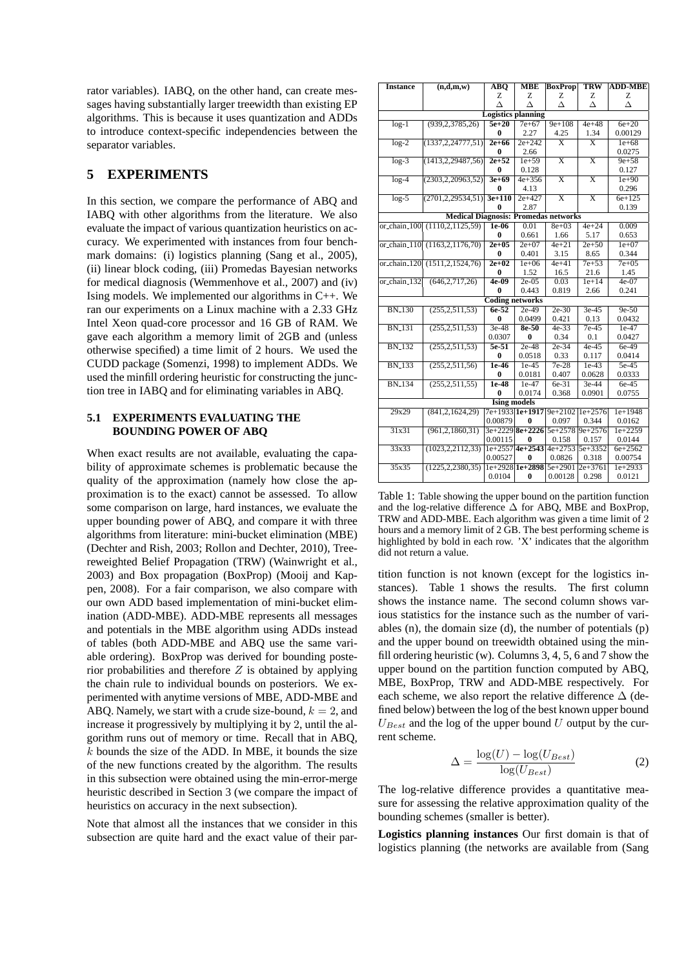rator variables). IABQ, on the other hand, can create messages having substantially larger treewidth than existing EP algorithms. This is because it uses quantization and ADDs to introduce context-specific independencies between the separator variables.

# **5 EXPERIMENTS**

In this section, we compare the performance of ABQ and IABQ with other algorithms from the literature. We also evaluate the impact of various quantization heuristics on accuracy. We experimented with instances from four benchmark domains: (i) logistics planning (Sang et al., 2005), (ii) linear block coding, (iii) Promedas Bayesian networks for medical diagnosis (Wemmenhove et al., 2007) and (iv) Ising models. We implemented our algorithms in C++. We ran our experiments on a Linux machine with a 2.33 GHz Intel Xeon quad-core processor and 16 GB of RAM. We gave each algorithm a memory limit of 2GB and (unless otherwise specified) a time limit of 2 hours. We used the CUDD package (Somenzi, 1998) to implement ADDs. We used the minfill ordering heuristic for constructing the junction tree in IABQ and for eliminating variables in ABQ.

#### **5.1 EXPERIMENTS EVALUATING THE BOUNDING POWER OF ABQ**

When exact results are not available, evaluating the capability of approximate schemes is problematic because the quality of the approximation (namely how close the approximation is to the exact) cannot be assessed. To allow some comparison on large, hard instances, we evaluate the upper bounding power of ABQ, and compare it with three algorithms from literature: mini-bucket elimination (MBE) (Dechter and Rish, 2003; Rollon and Dechter, 2010), Treereweighted Belief Propagation (TRW) (Wainwright et al., 2003) and Box propagation (BoxProp) (Mooij and Kappen, 2008). For a fair comparison, we also compare with our own ADD based implementation of mini-bucket elimination (ADD-MBE). ADD-MBE represents all messages and potentials in the MBE algorithm using ADDs instead of tables (both ADD-MBE and ABQ use the same variable ordering). BoxProp was derived for bounding posterior probabilities and therefore  $Z$  is obtained by applying the chain rule to individual bounds on posteriors. We experimented with anytime versions of MBE, ADD-MBE and ABQ. Namely, we start with a crude size-bound,  $k = 2$ , and increase it progressively by multiplying it by 2, until the algorithm runs out of memory or time. Recall that in ABQ,  $k$  bounds the size of the ADD. In MBE, it bounds the size of the new functions created by the algorithm. The results in this subsection were obtained using the min-error-merge heuristic described in Section 3 (we compare the impact of heuristics on accuracy in the next subsection).

Note that almost all the instances that we consider in this subsection are quite hard and the exact value of their par-

| <b>Instance</b>                                                                           | (n,d,m,w)                                   | $\overline{\bf A}$ $\overline{\bf B}$ $\overline{\bf Q}$ | <b>MBE</b>          | <b>BoxProp</b>                  | <b>TRW</b>              | <b>ADD-MBE</b>     |  |  |
|-------------------------------------------------------------------------------------------|---------------------------------------------|----------------------------------------------------------|---------------------|---------------------------------|-------------------------|--------------------|--|--|
|                                                                                           |                                             | Ζ                                                        | Z                   | Z                               | Ζ                       | Z                  |  |  |
|                                                                                           |                                             | Δ                                                        | Δ                   | Л                               | Δ                       | Л                  |  |  |
| <b>Logistics planning</b>                                                                 |                                             |                                                          |                     |                                 |                         |                    |  |  |
| $log-1$                                                                                   | (939, 2, 3785, 26)                          | $5e+20$                                                  | $7e+67$             | $9e+108$                        | $4e + 48$               | $6e+20$            |  |  |
|                                                                                           |                                             | 0                                                        | 2.27                | 4.25                            | 1.34                    | 0.00129            |  |  |
| $log-2$                                                                                   | (1337, 2, 24777, 51)                        | $2e + 66$                                                | $2e + 242$          | $\overline{\mathbf{x}}$         | $\overline{\mathbf{x}}$ | $1e + 68$          |  |  |
|                                                                                           |                                             | 0                                                        | 2.66                |                                 |                         | 0.0275             |  |  |
| $log-3$                                                                                   | (1413, 2, 29487, 56)                        | $2e + 52$                                                | $1e + 59$           | $\overline{\text{X}}$           | $\overline{\mathbf{x}}$ | $9e + 58$          |  |  |
|                                                                                           |                                             | 0                                                        | 0.128               |                                 |                         | 0.127              |  |  |
| $log-4$                                                                                   | (2303, 2, 20963, 52)                        | $3e+69$                                                  | $4e + 356$          | $\overline{\mathbf{x}}$         | $\overline{\mathrm{x}}$ | $1e + 90$          |  |  |
|                                                                                           |                                             | 0                                                        | 4.13                |                                 |                         | 0.296              |  |  |
| $log-5$                                                                                   | (2701, 2, 29534, 51)                        | $3e + 110$                                               | $2e + 427$          | $\overline{\mathrm{x}}$         | $\overline{\text{X}}$   | $6e + 125$         |  |  |
|                                                                                           |                                             | 0                                                        | 2.87                |                                 |                         | 0.139              |  |  |
|                                                                                           | <b>Medical Diagnosis: Promedas networks</b> |                                                          |                     |                                 |                         |                    |  |  |
| or_chain_100                                                                              | (1110, 2, 1125, 59)                         | $1e-06$                                                  | 0.01                | $8e + 03$                       | $4e + 24$               | 0.009              |  |  |
|                                                                                           |                                             | 0                                                        | 0.661               | 1.66                            | 5.17                    | 0.653              |  |  |
|                                                                                           | or_chain_110 (1163,2,1176,70)               | $2e+05$<br>0                                             | $2e+07$             | $4e + 21$                       | $2e + 50$               | $1e+07$            |  |  |
|                                                                                           |                                             | $2e+02$                                                  | 0.401<br>$1e + 06$  | 3.15<br>$4e+41$                 | 8.65<br>$7e + 53$       | 0.344<br>$7e + 05$ |  |  |
|                                                                                           | or_chain_120 (1511,2,1524,76)               | 0                                                        | 1.52                | 16.5                            | 21.6                    | 1.45               |  |  |
| or_chain_132                                                                              | (646, 2, 717, 26)                           | $4e-09$                                                  | $2e-05$             | 0.03                            | $1e+14$                 | $4e-07$            |  |  |
|                                                                                           |                                             | 0                                                        | 0.443               | 0.819                           | 2.66                    | 0.241              |  |  |
|                                                                                           |                                             | <b>Coding networks</b>                                   |                     |                                 |                         |                    |  |  |
| <b>BN_130</b><br>(255, 2, 511, 53)<br>$6e-52$<br>$2e-30$<br>$9e-50$<br>$2e-49$<br>$3e-45$ |                                             |                                                          |                     |                                 |                         |                    |  |  |
|                                                                                           |                                             | $\mathbf{0}$                                             | 0.0499              | 0.421                           | 0.13                    | 0.0432             |  |  |
| <b>BN_131</b>                                                                             | (255, 2, 511, 53)                           | $3e-48$                                                  | $8e-50$             | $4e-33$                         | $7e-45$                 | $1e-47$            |  |  |
|                                                                                           |                                             | 0.0307                                                   | 0                   | 0.34                            | 0.1                     | 0.0427             |  |  |
| <b>BN_132</b>                                                                             | (255, 2, 511, 53)                           | $5e-51$                                                  | $2e-48$             | $2e-34$                         | $4e-45$                 | $6e-49$            |  |  |
|                                                                                           |                                             | 0                                                        | 0.0518              | 0.33                            | 0.117                   | 0.0414             |  |  |
| <b>BN_133</b>                                                                             | (255, 2, 511, 56)                           | $1e-46$                                                  | $1e-45$             | $7e-28$                         | $1e-43$                 | $5e-45$            |  |  |
|                                                                                           |                                             | 0                                                        | 0.0181              | 0.407                           | 0.0628                  | 0.0333             |  |  |
| <b>BN_134</b>                                                                             | (255, 2, 511, 55)                           | $1e-48$                                                  | $1e-47$             | $6e-31$                         | $3e-44$                 | $6e-45$            |  |  |
|                                                                                           |                                             | 0                                                        | 0.0174              | 0.368                           | 0.0901                  | 0.0755             |  |  |
| <b>Ising models</b>                                                                       |                                             |                                                          |                     |                                 |                         |                    |  |  |
| 29x29                                                                                     | (841, 2, 1624, 29)                          |                                                          |                     | 7e+1933 1e+1917 9e+2102 1e+2576 |                         | $1e+1948$          |  |  |
|                                                                                           |                                             | 0.00879                                                  | $\bf{0}$            | 0.097                           | 0.344                   | 0.0162             |  |  |
| 31x31                                                                                     | (961, 2, 1860, 31)                          |                                                          | $3e+2229$ 8e + 2226 | $5e + 2578$                     | $9e + 2576$             | $1e+2259$          |  |  |
|                                                                                           |                                             | 0.00115                                                  | 0                   | 0.158                           | 0.157                   | 0.0144             |  |  |
| 33x33                                                                                     | (1023, 2, 2112, 33)                         |                                                          |                     | $1e+2557$ 4e + 2543 4e + 2753   | 5e+3352                 | $6e + 2562$        |  |  |
|                                                                                           |                                             | 0.00527                                                  | 0                   | 0.0826                          | 0.318                   | 0.00754            |  |  |
| 35x35                                                                                     | (1225, 2, 2380, 35)                         |                                                          | le+2928 1e+2898     | $5e + 2901$                     | $2e + 3761$             | $1e + 2933$        |  |  |
|                                                                                           |                                             | 0.0104                                                   | $\bf{0}$            | 0.00128                         | 0.298                   | 0.0121             |  |  |

Table 1: Table showing the upper bound on the partition function and the log-relative difference  $\Delta$  for ABQ, MBE and BoxProp, TRW and ADD-MBE. Each algorithm was given a time limit of 2 hours and a memory limit of 2 GB. The best performing scheme is highlighted by bold in each row. 'X' indicates that the algorithm did not return a value.

tition function is not known (except for the logistics instances). Table 1 shows the results. The first column shows the instance name. The second column shows various statistics for the instance such as the number of variables (n), the domain size (d), the number of potentials (p) and the upper bound on treewidth obtained using the minfill ordering heuristic (w). Columns 3, 4, 5, 6 and 7 show the upper bound on the partition function computed by ABQ, MBE, BoxProp, TRW and ADD-MBE respectively. For each scheme, we also report the relative difference  $\Delta$  (defined below) between the log of the best known upper bound  $U_{Best}$  and the log of the upper bound U output by the current scheme.

$$
\Delta = \frac{\log(U) - \log(U_{Best})}{\log(U_{Best})}
$$
\n(2)

The log-relative difference provides a quantitative measure for assessing the relative approximation quality of the bounding schemes (smaller is better).

**Logistics planning instances** Our first domain is that of logistics planning (the networks are available from (Sang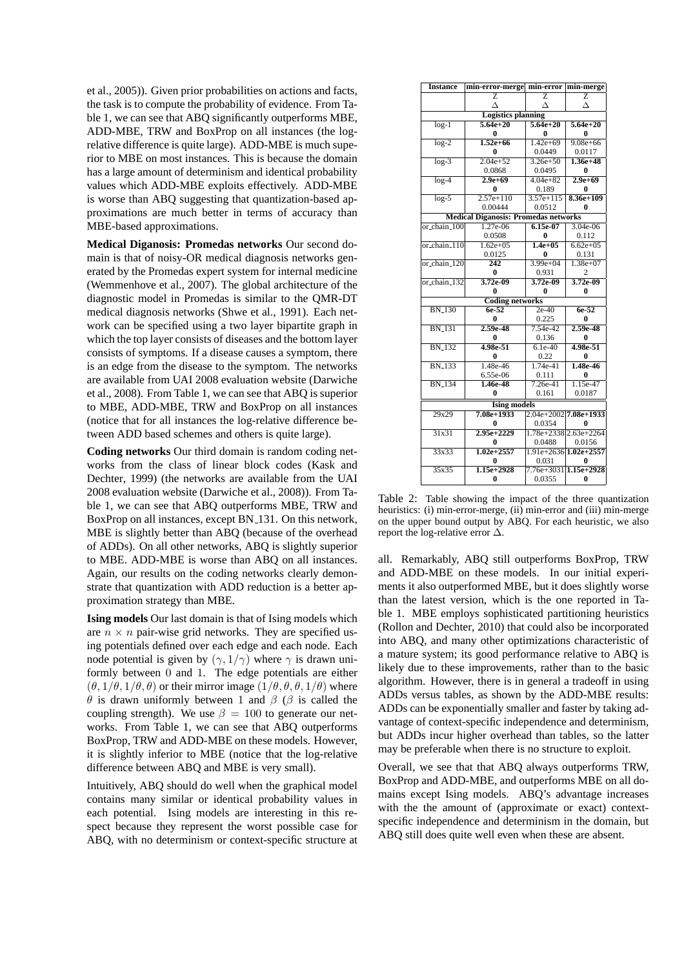et al., 2005)). Given prior probabilities on actions and facts, the task is to compute the probability of evidence. From Table 1, we can see that ABQ significantly outperforms MBE, ADD-MBE, TRW and BoxProp on all instances (the logrelative difference is quite large). ADD-MBE is much superior to MBE on most instances. This is because the domain has a large amount of determinism and identical probability values which ADD-MBE exploits effectively. ADD-MBE is worse than ABQ suggesting that quantization-based approximations are much better in terms of accuracy than MBE-based approximations.

**Medical Diganosis: Promedas networks** Our second domain is that of noisy-OR medical diagnosis networks generated by the Promedas expert system for internal medicine (Wemmenhove et al., 2007). The global architecture of the diagnostic model in Promedas is similar to the QMR-DT medical diagnosis networks (Shwe et al., 1991). Each network can be specified using a two layer bipartite graph in which the top layer consists of diseases and the bottom layer consists of symptoms. If a disease causes a symptom, there is an edge from the disease to the symptom. The networks are available from UAI 2008 evaluation website (Darwiche et al., 2008). From Table 1, we can see that ABQ is superior to MBE, ADD-MBE, TRW and BoxProp on all instances (notice that for all instances the log-relative difference between ADD based schemes and others is quite large).

**Coding networks** Our third domain is random coding networks from the class of linear block codes (Kask and Dechter, 1999) (the networks are available from the UAI 2008 evaluation website (Darwiche et al., 2008)). From Table 1, we can see that ABQ outperforms MBE, TRW and BoxProp on all instances, except BN 131. On this network, MBE is slightly better than ABQ (because of the overhead of ADDs). On all other networks, ABQ is slightly superior to MBE. ADD-MBE is worse than ABQ on all instances. Again, our results on the coding networks clearly demonstrate that quantization with ADD reduction is a better approximation strategy than MBE.

**Ising models** Our last domain is that of Ising models which are  $n \times n$  pair-wise grid networks. They are specified using potentials defined over each edge and each node. Each node potential is given by  $(\gamma, 1/\gamma)$  where  $\gamma$  is drawn uniformly between 0 and 1. The edge potentials are either  $(\theta, 1/\theta, 1/\theta, \theta)$  or their mirror image  $(1/\theta, \theta, \theta, 1/\theta)$  where θ is drawn uniformly between 1 and β (β is called the coupling strength). We use  $\beta = 100$  to generate our networks. From Table 1, we can see that ABQ outperforms BoxProp, TRW and ADD-MBE on these models. However, it is slightly inferior to MBE (notice that the log-relative difference between ABQ and MBE is very small).

Intuitively, ABQ should do well when the graphical model contains many similar or identical probability values in each potential. Ising models are interesting in this respect because they represent the worst possible case for ABQ, with no determinism or context-specific structure at

| <b>Instance</b>                             | min-error-merge min-error |                         | min-merge                 |  |  |  |  |  |
|---------------------------------------------|---------------------------|-------------------------|---------------------------|--|--|--|--|--|
|                                             | 7.                        | $\overline{\mathrm{z}}$ | $\overline{z}$            |  |  |  |  |  |
|                                             |                           | Л                       | Л                         |  |  |  |  |  |
| <b>Logistics planning</b>                   |                           |                         |                           |  |  |  |  |  |
| $log-1$                                     | $5.64e + 20$              | $5.64e + 20$            | $5.64e + 20$              |  |  |  |  |  |
|                                             | 0                         | 0                       | 0                         |  |  |  |  |  |
| $log-2$                                     | $1.52e+66$                | $1.42e+69$              | $9.08e + 66$              |  |  |  |  |  |
|                                             | 0                         | 0.0449                  | 0.0117                    |  |  |  |  |  |
| $log-3$                                     | $2.04e + 52$              | $3.26e + 50$            | $1.36e + 48$              |  |  |  |  |  |
|                                             | 0.0868                    | 0.0495                  | 0                         |  |  |  |  |  |
| $log-4$                                     | $2.9e + 69$               | $4.04e + 82$            | $2.9e + 69$               |  |  |  |  |  |
|                                             | 0                         | 0.189                   | 0                         |  |  |  |  |  |
| $\overline{\log -5}$                        | $2.57e+110$               | $3.57e + 115$           | $8.36e+109$               |  |  |  |  |  |
|                                             | 0.00444                   | 0.0512                  | 0                         |  |  |  |  |  |
| <b>Medical Diganosis: Promedas networks</b> |                           |                         |                           |  |  |  |  |  |
| or_chain_100                                | $1.27e-06$                | $6.15e-07$              | $3.04e-06$                |  |  |  |  |  |
|                                             | 0.0508                    | $\bf{0}$                | 0.112                     |  |  |  |  |  |
| or_chain_110                                | $1.62e + 0.5$             | $1.4e + 0.5$            | $6.62e + 0.5$             |  |  |  |  |  |
|                                             | 0.0125                    | 0                       | 0.131                     |  |  |  |  |  |
| or_chain_120                                | $\overline{242}$          | $3.99e + 04$            | $1.38e+07$                |  |  |  |  |  |
|                                             | 0                         | 0.931                   | $\mathfrak{D}$            |  |  |  |  |  |
| or_chain_132                                | $3.72e-09$                | $3.72e-09$              | $3.72e-09$                |  |  |  |  |  |
|                                             | 0                         | 0                       | 0                         |  |  |  |  |  |
| <b>Coding networks</b>                      |                           |                         |                           |  |  |  |  |  |
| <b>BN_130</b>                               | $6e-52$                   | $2e-40$                 | $6e-52$                   |  |  |  |  |  |
|                                             | 0                         | 0.225                   | 0                         |  |  |  |  |  |
| <b>BN_131</b>                               | $2.59e-48$                | $7.54e-42$              | $2.59e-48$                |  |  |  |  |  |
|                                             | 0                         | 0.136                   | 0                         |  |  |  |  |  |
| <b>BN_132</b>                               | $4.98e - 51$              | $6.1e-40$               | 4.98e-51                  |  |  |  |  |  |
|                                             | $\bf{0}$                  | 0.22                    | 0                         |  |  |  |  |  |
| <b>BN_133</b>                               | $1.48e-46$                | $1.74e-41$              | 1.48e-46                  |  |  |  |  |  |
|                                             | 6.55e-06                  | 0.111                   | 0                         |  |  |  |  |  |
| <b>BN_134</b>                               | 1.46e-48                  | $7.26e-41$              | $1.15e-47$                |  |  |  |  |  |
|                                             | 0                         | 0.161                   | 0.0187                    |  |  |  |  |  |
| <b>Ising models</b>                         |                           |                         |                           |  |  |  |  |  |
| 29x29                                       | $7.08e+1933$              |                         | $2.04e+2002$ 7.08e+1933   |  |  |  |  |  |
|                                             | 0                         | 0.0354                  | 0                         |  |  |  |  |  |
| 31x31                                       | $2.95e+2229$              |                         | 1.78e+2338 2.63e+2264     |  |  |  |  |  |
|                                             | 0                         | 0.0488                  | 0.0156                    |  |  |  |  |  |
| $\overline{33x33}$                          | $1.02e + 2557$            |                         | $1.91e+2636$ $1.02e+2557$ |  |  |  |  |  |
|                                             | 0                         | 0.031                   | 0                         |  |  |  |  |  |
| 35x35                                       | $1.15e+2928$              | $7.76e + 3031$          | $1.15e+2928$              |  |  |  |  |  |
|                                             | $\bf{0}$                  | 0.0355                  | $\bf{0}$                  |  |  |  |  |  |

Table 2: Table showing the impact of the three quantization heuristics: (i) min-error-merge, (ii) min-error and (iii) min-merge on the upper bound output by ABQ. For each heuristic, we also report the log-relative error  $\Delta$ .

all. Remarkably, ABQ still outperforms BoxProp, TRW and ADD-MBE on these models. In our initial experiments it also outperformed MBE, but it does slightly worse than the latest version, which is the one reported in Table 1. MBE employs sophisticated partitioning heuristics (Rollon and Dechter, 2010) that could also be incorporated into ABQ, and many other optimizations characteristic of a mature system; its good performance relative to ABQ is likely due to these improvements, rather than to the basic algorithm. However, there is in general a tradeoff in using ADDs versus tables, as shown by the ADD-MBE results: ADDs can be exponentially smaller and faster by taking advantage of context-specific independence and determinism, but ADDs incur higher overhead than tables, so the latter may be preferable when there is no structure to exploit.

Overall, we see that that ABQ always outperforms TRW, BoxProp and ADD-MBE, and outperforms MBE on all domains except Ising models. ABQ's advantage increases with the the amount of (approximate or exact) contextspecific independence and determinism in the domain, but ABQ still does quite well even when these are absent.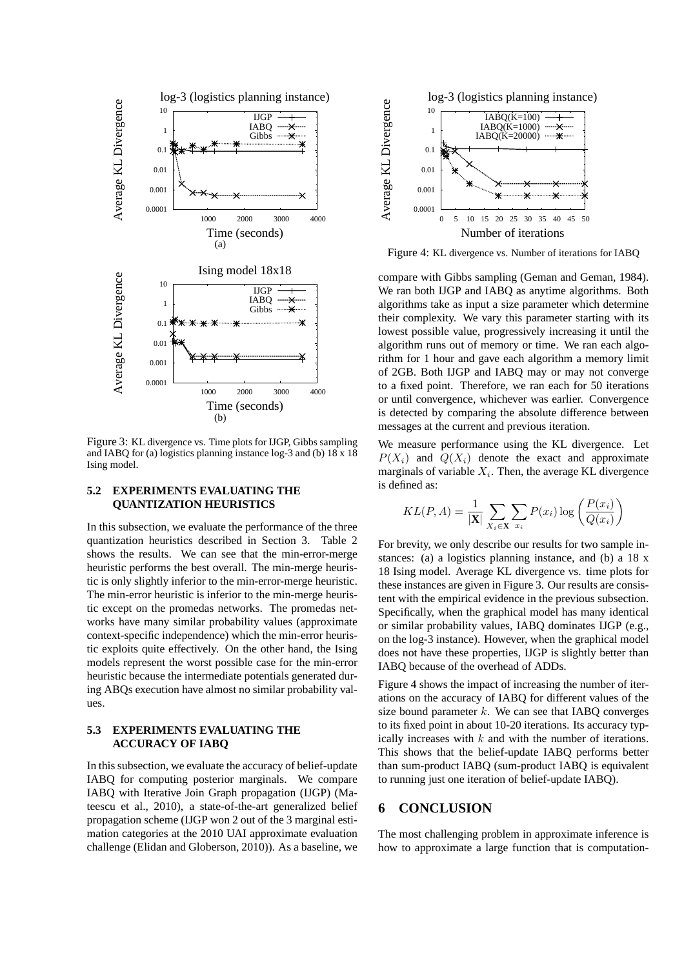

Figure 3: KL divergence vs. Time plots for IJGP, Gibbs sampling and IABQ for (a) logistics planning instance log-3 and (b) 18 x 18 Ising model.

### **5.2 EXPERIMENTS EVALUATING THE QUANTIZATION HEURISTICS**

In this subsection, we evaluate the performance of the three quantization heuristics described in Section 3. Table 2 shows the results. We can see that the min-error-merge heuristic performs the best overall. The min-merge heuristic is only slightly inferior to the min-error-merge heuristic. The min-error heuristic is inferior to the min-merge heuristic except on the promedas networks. The promedas networks have many similar probability values (approximate context-specific independence) which the min-error heuristic exploits quite effectively. On the other hand, the Ising models represent the worst possible case for the min-error heuristic because the intermediate potentials generated during ABQs execution have almost no similar probability values.

#### **5.3 EXPERIMENTS EVALUATING THE ACCURACY OF IABQ**

In this subsection, we evaluate the accuracy of belief-update IABQ for computing posterior marginals. We compare IABQ with Iterative Join Graph propagation (IJGP) (Mateescu et al., 2010), a state-of-the-art generalized belief propagation scheme (IJGP won 2 out of the 3 marginal estimation categories at the 2010 UAI approximate evaluation challenge (Elidan and Globerson, 2010)). As a baseline, we



Figure 4: KL divergence vs. Number of iterations for IABQ

compare with Gibbs sampling (Geman and Geman, 1984). We ran both IJGP and IABQ as anytime algorithms. Both algorithms take as input a size parameter which determine their complexity. We vary this parameter starting with its lowest possible value, progressively increasing it until the algorithm runs out of memory or time. We ran each algorithm for 1 hour and gave each algorithm a memory limit of 2GB. Both IJGP and IABQ may or may not converge to a fixed point. Therefore, we ran each for 50 iterations or until convergence, whichever was earlier. Convergence is detected by comparing the absolute difference between messages at the current and previous iteration.

We measure performance using the KL divergence. Let  $P(X_i)$  and  $Q(X_i)$  denote the exact and approximate marginals of variable  $X_i$ . Then, the average KL divergence is defined as:

$$
KL(P, A) = \frac{1}{|\mathbf{X}|} \sum_{X_i \in \mathbf{X}} \sum_{x_i} P(x_i) \log \left( \frac{P(x_i)}{Q(x_i)} \right)
$$

For brevity, we only describe our results for two sample instances: (a) a logistics planning instance, and (b) a 18 x 18 Ising model. Average KL divergence vs. time plots for these instances are given in Figure 3. Our results are consistent with the empirical evidence in the previous subsection. Specifically, when the graphical model has many identical or similar probability values, IABQ dominates IJGP (e.g., on the log-3 instance). However, when the graphical model does not have these properties, IJGP is slightly better than IABQ because of the overhead of ADDs.

Figure 4 shows the impact of increasing the number of iterations on the accuracy of IABQ for different values of the size bound parameter  $k$ . We can see that IABO converges to its fixed point in about 10-20 iterations. Its accuracy typically increases with  $k$  and with the number of iterations. This shows that the belief-update IABQ performs better than sum-product IABQ (sum-product IABQ is equivalent to running just one iteration of belief-update IABQ).

### **6 CONCLUSION**

The most challenging problem in approximate inference is how to approximate a large function that is computation